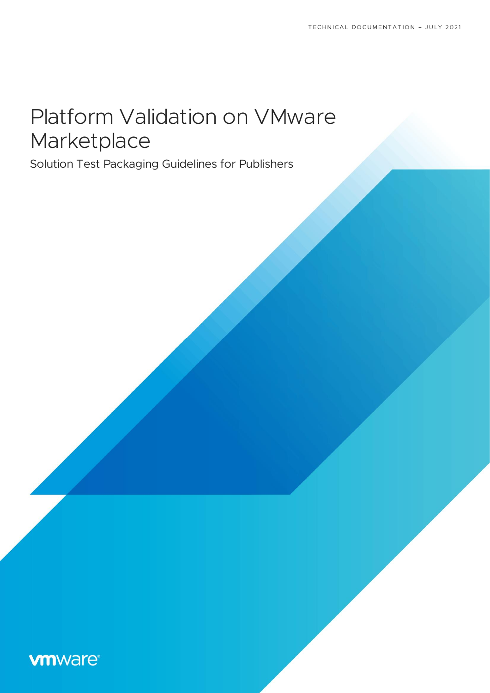# Platform Validation on VMware Marketplace

Solution Test Packaging Guidelines for Publishers

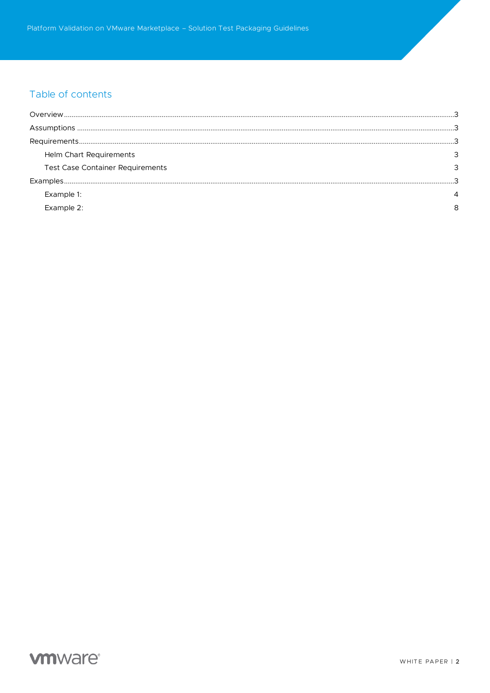# Table of contents

| Helm Chart Requirements                 |  |
|-----------------------------------------|--|
| <b>Test Case Container Requirements</b> |  |
|                                         |  |
| Example 1:                              |  |
| Example 2:                              |  |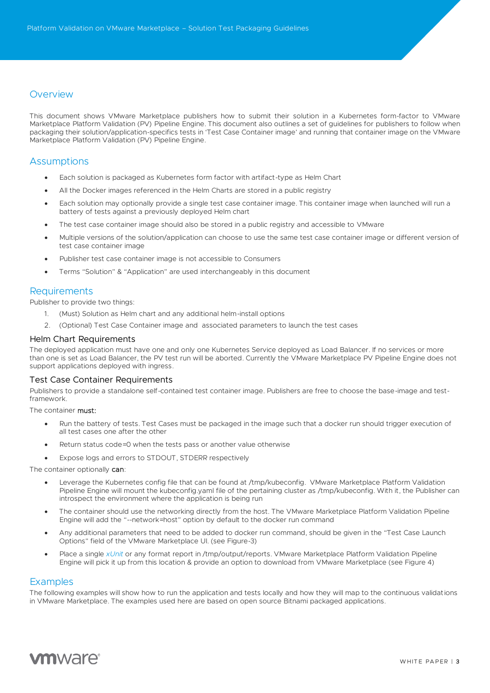# **Overview**

This document shows VMware Marketplace publishers how to submit their solution in a Kubernetes form-factor to VMware Marketplace Platform Validation (PV) Pipeline Engine. This document also outlines a set of guidelines for publishers to follow when packaging their solution/application-specifics tests in 'Test Case Container image' and running that container image on the VMware Marketplace Platform Validation (PV) Pipeline Engine.

# **Assumptions**

- Each solution is packaged as Kubernetes form factor with artifact-type as Helm Chart
- All the Docker images referenced in the Helm Charts are stored in a public registry
- Each solution may optionally provide a single test case container image. This container image when launched will run a battery of tests against a previously deployed Helm chart
- The test case container image should also be stored in a public registry and accessible to VMware
- Multiple versions of the solution/application can choose to use the same test case container image or different version of test case container image
- Publisher test case container image is not accessible to Consumers
- Terms "Solution" & "Application" are used interchangeably in this document

## **Requirements**

Publisher to provide two things:

- 1. (Must) Solution as Helm chart and any additional helm-install options
- 2. (Optional) Test Case Container image and associated parameters to launch the test cases

#### Helm Chart Requirements

The deployed application must have one and only one Kubernetes Service deployed as Load Balancer. If no services or more than one is set as Load Balancer, the PV test run will be aborted. Currently the VMware Marketplace PV Pipeline Engine does not support applications deployed with ingress.

#### Test Case Container Requirements

Publishers to provide a standalone self-contained test container image. Publishers are free to choose the base-image and testframework.

The container must:

- Run the battery of tests. Test Cases must be packaged in the image such that a docker run should trigger execution of all test cases one after the other
- Return status code=0 when the tests pass or another value otherwise
- Expose logs and errors to STDOUT, STDERR respectively

The container optionally can:

- Leverage the Kubernetes config file that can be found at /tmp/kubeconfig. VMware Marketplace Platform Validation Pipeline Engine will mount the kubeconfig.yaml file of the pertaining cluster as /tmp/kubeconfig. With it, the Publisher can introspect the environment where the application is being run
- The container should use the networking directly from the host. The VMware Marketplace Platform Validation Pipeline Engine will add the "--network=host" option by default to the docker run command
- Any additional parameters that need to be added to docker run command, should be given in the "Test Case Launch Options" field of the VMware Marketplace UI. (see Figure-3)
- Place a single *[xUnit](https://xunit.net/)* or any format report in /tmp/output/reports. VMware Marketplace Platform Validation Pipeline Engine will pick it up from this location & provide an option to download from VMware Marketplace (see Figure 4)

### **Examples**

The following examples will show how to run the application and tests locally and how they will map to the continuous validations in VMware Marketplace. The examples used here are based on open source Bitnami packaged applications.

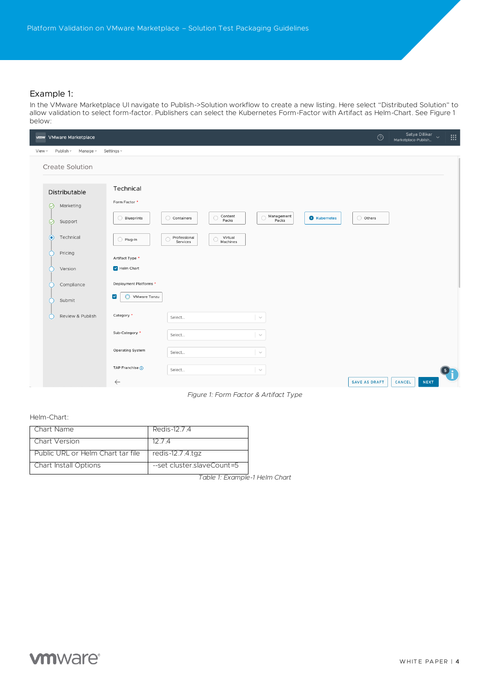## Example 1:

In the VMware Marketplace UI navigate to Publish->Solution workflow to create a new listing. Here select "Distributed Solution" to allow validation to select form-factor. Publishers can select the Kubernetes Form-Factor with Artifact as Helm-Chart. See Figure 1 below:

| vmw VMware Marketplace                                  |                                                         |                          |                                   |                          |                     | $\odot$              | Satya Dillikar<br>Marketplace-Publish | $\ddot{\phantom{1}}$ |  |
|---------------------------------------------------------|---------------------------------------------------------|--------------------------|-----------------------------------|--------------------------|---------------------|----------------------|---------------------------------------|----------------------|--|
| Publish ~<br>Manage v<br>View $\vee$                    | Settings v                                              |                          |                                   |                          |                     |                      |                                       |                      |  |
| <b>Create Solution</b>                                  |                                                         |                          |                                   |                          |                     |                      |                                       |                      |  |
| Distributable<br>$\odot$<br>Marketing                   | Technical<br>Form Factor *<br>Blueprints                | ◯ Containers             | Content<br>O                      | Management<br>$\bigcirc$ | <b>O</b> Kubernetes | $\bigcirc$ Others    |                                       |                      |  |
| $\odot$<br>Support<br>$\bullet$<br>Technical<br>Pricing | C<br>◯ Plug-In                                          | Professional<br>Services | Packs<br>Virtual<br>O<br>Machines | Packs                    |                     |                      |                                       |                      |  |
| Version<br>Compliance                                   | Artifact Type *<br>Helm Chart<br>Deployment Platforms * |                          |                                   |                          |                     |                      |                                       |                      |  |
| Submit<br>Г                                             | $\blacktriangledown$<br>VMware Tanzu                    |                          |                                   |                          |                     |                      |                                       |                      |  |
| Review & Publish<br>C                                   | Category *<br>Sub-Category *                            | Select                   |                                   | $\searrow$               |                     |                      |                                       |                      |  |
|                                                         | Operating System                                        | Select<br>Select         |                                   | $\sim$<br>$\searrow$     |                     |                      |                                       |                      |  |
|                                                         | TAP Franchise (1)<br>$\leftarrow$                       | Select                   |                                   | $\sim$                   |                     | <b>SAVE AS DRAFT</b> | CANCEL                                | <b>NEXT</b>          |  |

*Figure 1: Form Factor & Artifact Type*

Helm-Chart:

| Chart Name                        | Redis-12.7.4               |
|-----------------------------------|----------------------------|
| Chart Version                     | 12 7 4                     |
| Public URL or Helm Chart tar file | redis-12.7.4.tgz           |
| <b>Chart Install Options</b>      | --set cluster slaveCount=5 |

*Table 1: Example-1 Helm Chart*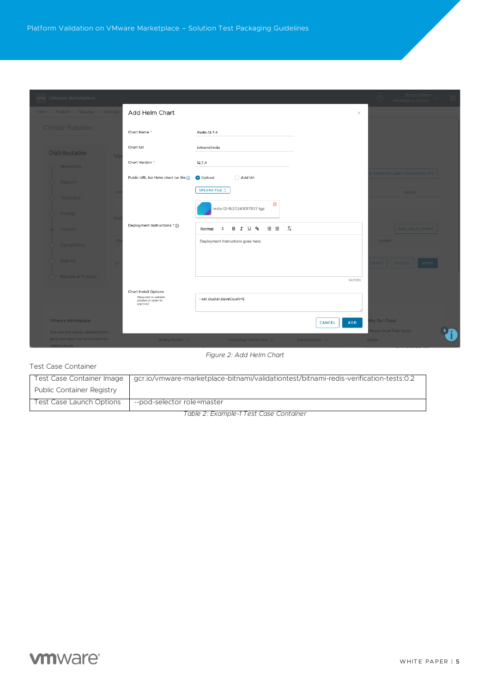| vmw VMware Marketplace               |                                                                                           |                                                                                           | Satya Dillikar<br>m<br>Marketplace-Publish |
|--------------------------------------|-------------------------------------------------------------------------------------------|-------------------------------------------------------------------------------------------|--------------------------------------------|
| View > Publish > Manage > Setting:   | Add Helm Chart                                                                            |                                                                                           | $\times$                                   |
| <b>Create Solution</b>               | Chart Name *                                                                              | Redis-12.7.4                                                                              |                                            |
| <b>Distributable</b><br>$V\epsilon$  | Chart Url                                                                                 | bitnami/redis                                                                             |                                            |
| $\oslash$ Marketing                  | Chart Version *                                                                           | 12.7.4                                                                                    |                                            |
| $\oslash$ Support                    | Public URL for Helm chart tar file 1                                                      | O Upload<br>◯ Add Url                                                                     | <b>VERSION AND COMPATIBILIT</b>            |
| $\oslash$ Technical                  |                                                                                           | UPLOAD FILE 1<br>ŵ                                                                        | <b>Action</b>                              |
| $\oslash$ Pricing<br>$H_{6}$         |                                                                                           | redis-12-1620243017837.tgz                                                                |                                            |
| a Version                            | Deployment Instructions * (1)                                                             | 油 田<br>$\mathcal{I}_{\mathbf{x}}$<br><b>B J U &amp;</b><br>$\ddot{\phantom{a}}$<br>Normal | ADD HELM CHART                             |
| Compliance                           |                                                                                           | Deployment Instructions goes here.                                                        | <b>Action</b>                              |
| Submit                               |                                                                                           |                                                                                           | DRAFT CANCEL NEX                           |
| Review & Publish                     |                                                                                           | 34/1000                                                                                   |                                            |
|                                      | <b>Chart Install Options</b><br>(Required to validate<br>solution in order to<br>approve) | --set cluster.slaveCount=5                                                                |                                            |
| <b>VMware Marketplace</b>            |                                                                                           | <b>ADD</b><br>CANCEL                                                                      | hy Our Cloud                               |
| Discover and deploy validated third- |                                                                                           |                                                                                           | <b>Iware Cloud Trust Center</b>            |
| party and open-source solutions for  | Getting Started 2                                                                         | Technology Partner Hub 2<br>Documentation $\varnothing$                                   | Skyline                                    |
| various clouds                       |                                                                                           |                                                                                           |                                            |

#### *Figure 2: Add Helm Chart*

## Test Case Container

| Test Case Container Image        | gcr.io/vmware-marketplace-bitnami/validationtest/bitnami-redis-verification-tests:0.2 |
|----------------------------------|---------------------------------------------------------------------------------------|
| <b>Public Container Registry</b> |                                                                                       |
| Test Case Launch Options         | --pod-selector role=master                                                            |

*Table 2: Example-1 Test Case Container*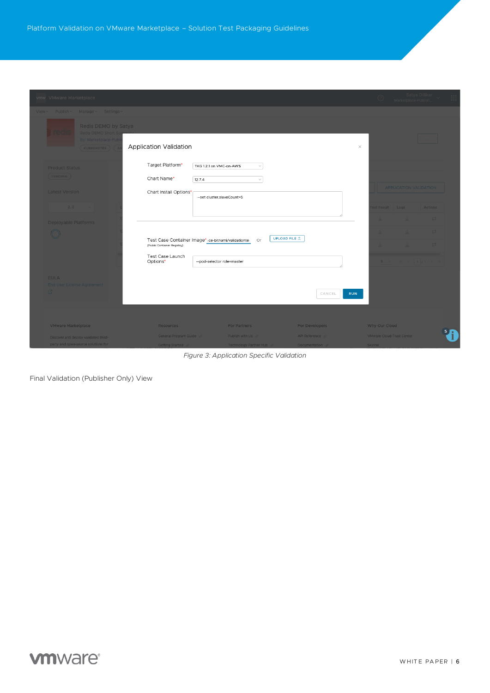| vmw VMware Marketplace                                                             |                                                                                                                     |                                                                                       |                                                | Satya Dillikar<br>Marketplace-Publish<br>$\circledcirc$ |
|------------------------------------------------------------------------------------|---------------------------------------------------------------------------------------------------------------------|---------------------------------------------------------------------------------------|------------------------------------------------|---------------------------------------------------------|
| Publish v Manage v Settings<br>View ~                                              |                                                                                                                     |                                                                                       |                                                |                                                         |
| Redis DEMO by Satya<br>Redis DEMO Short S<br>By: Marketplace-Pub<br>KUBERNETES ) ( | Application Validation                                                                                              |                                                                                       | $\times$                                       |                                                         |
| <b>Product Status</b><br>$($ PENDING $)$<br><b>Latest Version</b>                  | Target Platform*<br>Chart Name*<br>12.7.4<br>Chart Install Options*                                                 | TKG 1.2.1 on VMC-on-AWS<br>$\checkmark$<br>$\checkmark$<br>--set cluster.slaveCount=5 |                                                | <b>APPLICATION VALIDATION</b>                           |
| 2.0<br><b>Deployable Platforms</b>                                                 |                                                                                                                     |                                                                                       |                                                | st Result<br>$-$ 003<br>Actions                         |
| $\circledcirc$                                                                     | Test Case Container Image* ice-bitnami/validationte:<br>(Public Container Registry)<br>Test Case Launch<br>Options* | Or<br>--pod-selector role=master                                                      | <b>UPLOAD FILE 1</b>                           |                                                         |
| <b>EULA</b><br><b>End User License Agreement</b><br>內                              |                                                                                                                     |                                                                                       | CANCEL<br><b>RUN</b>                           |                                                         |
| <b>VMware Marketplace</b>                                                          | Resources                                                                                                           | <b>For Partners</b>                                                                   | For Developers                                 | Why Our Cloud                                           |
| Discover and deploy validated third-<br>party and open-source solutions for        | General Program Guide 2<br>Getting Started $\varnothing$                                                            | Publish with Us $\mathcal{P}$<br>Technology Partner Hub                               | API Reference $\varnothing$<br>Documentation & | <b>VMware Cloud Trust Center</b><br>Skyline             |

*Figure 3: Application Specific Validation*

Final Validation (Publisher Only) View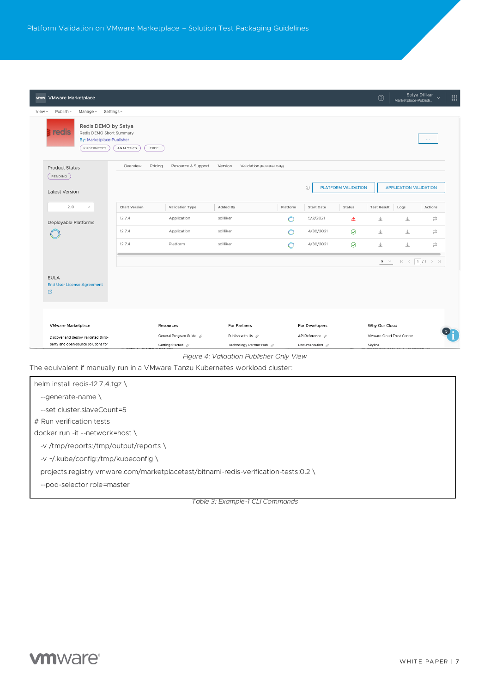| vmw VMware Marketplace                                                                              |                      |                                              |                                                           |          |                                    |                     | $\odot$                              | Marketplace-Publish.          | Satya Dillikar<br>$\ddot{\phantom{0}}$ |
|-----------------------------------------------------------------------------------------------------|----------------------|----------------------------------------------|-----------------------------------------------------------|----------|------------------------------------|---------------------|--------------------------------------|-------------------------------|----------------------------------------|
| Publish ~<br>Manage ~<br>Settings ~<br>View $\vee$                                                  |                      |                                              |                                                           |          |                                    |                     |                                      |                               |                                        |
| Redis DEMO by Satya<br>reals<br>Redis DEMO Short Summary<br>By: Marketplace-Publisher<br>KUBERNETES | ANALYTICS<br>FREE    |                                              |                                                           |          |                                    |                     |                                      |                               | $\cdots$                               |
| <b>Product Status</b>                                                                               | Overview<br>Pricing  | Resource & Support                           | Version<br>Validation (Publisher Only)                    |          |                                    |                     |                                      |                               |                                        |
| PENDING<br><b>Latest Version</b>                                                                    |                      |                                              |                                                           |          | $\odot$                            | PLATFORM VALIDATION |                                      | <b>APPLICATION VALIDATION</b> |                                        |
| 2.0<br>$\sim$                                                                                       | <b>Chart Version</b> | Validation Type                              | Added By                                                  | Platform | <b>Start Date</b>                  | Status              | <b>Test Result</b>                   | Logs                          | Actions                                |
| Deployable Platforms                                                                                | 12.7.4               | Application                                  | sdillikar                                                 | O        | 5/2/2021                           | ⚠                   | 业                                    | 业                             | ₫                                      |
|                                                                                                     | 12.7.4               | Application                                  | sdillikar                                                 | ∩        | 4/30/2021                          | $\odot$             | $\downarrow$                         | 业                             | S                                      |
|                                                                                                     | 12.7.4               | Platform                                     | sdillikar                                                 | n        | 4/30/2021                          | $\odot$             | 业                                    | 业                             | ₿                                      |
|                                                                                                     |                      |                                              |                                                           |          |                                    |                     | $5 - \vee$                           |                               | $K$ $\leftarrow$ 1 $/1$ $>$ $>$ 1      |
| <b>EULA</b><br><b>End User License Agreement</b><br>₫                                               |                      |                                              |                                                           |          |                                    |                     |                                      |                               |                                        |
| <b>VMware Marketplace</b>                                                                           |                      | Resources                                    | For Partners                                              |          | For Developers                     |                     | Why Our Cloud                        |                               |                                        |
| Discover and deploy validated third-<br>party and open-source solutions for                         |                      | General Program Guide 2<br>Getting Started 2 | Publish with Us $\mathcal{Q}$<br>Technology Partner Hub 2 |          | API Reference 2<br>Documentation 2 |                     | VMware Cloud Trust Center<br>Skyline |                               |                                        |
|                                                                                                     |                      |                                              |                                                           |          |                                    |                     |                                      |                               |                                        |

| helm install redis-12.7.4.tgz \                                                     |
|-------------------------------------------------------------------------------------|
| $-$ generate-name                                                                   |
| --set cluster slaveCount=5                                                          |
| # Run verification tests                                                            |
| docker run -it --network=host \                                                     |
| -v /tmp/reports:/tmp/output/reports \                                               |
| -v ~/.kube/config:/tmp/kubeconfig \                                                 |
| projects.registry.vmware.com/marketplacetest/bitnami-redis-verification-tests:0.2 \ |
| --pod-selector role=master                                                          |
|                                                                                     |

*Table 3: Example-1 CLI Commands*

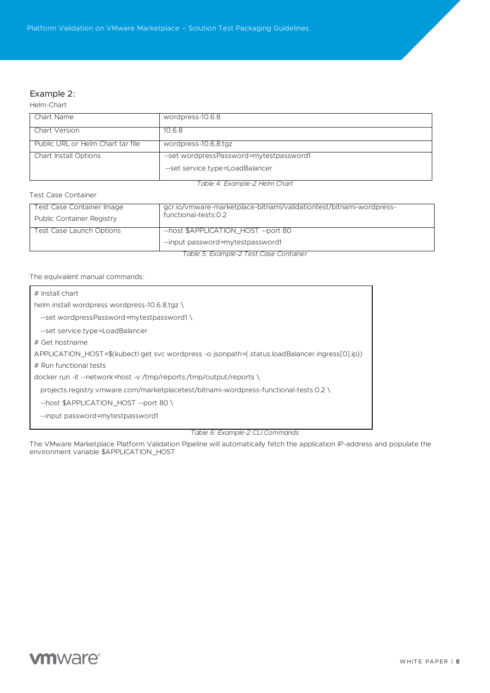## Example 2:

Helm-Chart

| Chart Name                        | wordpress-10.6.8                        |
|-----------------------------------|-----------------------------------------|
|                                   |                                         |
| Chart Version                     | 10.6.8                                  |
|                                   |                                         |
| Public URL or Helm Chart tar file | wordpress-10.6.8.tgz                    |
|                                   |                                         |
| <b>Chart Install Options</b>      | --set wordpressPassword=mytestpassword1 |
|                                   |                                         |
|                                   | --set service.type=LoadBalancer         |
|                                   |                                         |
|                                   |                                         |
|                                   | Table 4: Example-2 Helm Chart           |

Test Case Container

| Test Case Container Image | gcr.io/vmware-marketplace-bitnami/validationtest/bitnami-wordpress- |
|---------------------------|---------------------------------------------------------------------|
| Public Container Registry | functional-tests:0.2                                                |
| Test Case Launch Options  | --host \$APPLICATION HOST --port 80                                 |
|                           | --input password=mytestpassword1                                    |
|                           | Table 5: Example-2 Test Case Container                              |

The equivalent manual commands:

| $\#$ Install chart                                                                              |
|-------------------------------------------------------------------------------------------------|
| helm install wordpress wordpress-10.6.8.tgz \                                                   |
| --set wordpressPassword=mytestpassword1)                                                        |
| --set service.type=LoadBalancer                                                                 |
| # Get hostname                                                                                  |
| APPLICATION HOST=\$(kubectl get svc wordpress -o jsonpath={.status.loadBalancer.ingress[0].jp}) |
| # Run functional tests                                                                          |
| docker run -it --network=host -v /tmp/reports:/tmp/output/reports \                             |
| projects.registry.vmware.com/marketplacetest/bitnami-wordpress-functional-tests:0.2 \           |
| --host \$APPLICATION HOST --port 80\                                                            |
| --input password=mytestpassword1                                                                |
|                                                                                                 |

*Table 6: Example-2 CLI Commands*

The VMware Marketplace Platform Validation Pipeline will automatically fetch the application IP-address and populate the environment variable \$APPLICATION\_HOST